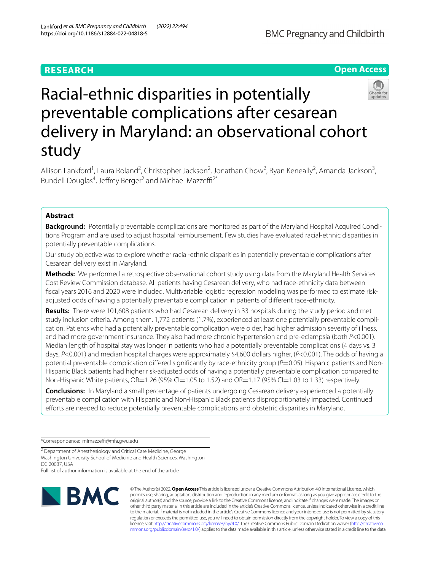# **RESEARCH**



# Racial-ethnic disparities in potentially preventable complications after cesarean delivery in Maryland: an observational cohort study

Allison Lankford<sup>1</sup>, Laura Roland<sup>2</sup>, Christopher Jackson<sup>2</sup>, Jonathan Chow<sup>2</sup>, Ryan Keneally<sup>2</sup>, Amanda Jackson<sup>3</sup>, Rundell Douglas<sup>4</sup>, Jeffrey Berger<sup>2</sup> and Michael Mazzeffi<sup>2\*</sup>

# **Abstract**

**Background:** Potentially preventable complications are monitored as part of the Maryland Hospital Acquired Conditions Program and are used to adjust hospital reimbursement. Few studies have evaluated racial-ethnic disparities in potentially preventable complications.

Our study objective was to explore whether racial-ethnic disparities in potentially preventable complications after Cesarean delivery exist in Maryland.

**Methods:** We performed a retrospective observational cohort study using data from the Maryland Health Services Cost Review Commission database. All patients having Cesarean delivery, who had race-ethnicity data between fscal years 2016 and 2020 were included. Multivariable logistic regression modeling was performed to estimate riskadjusted odds of having a potentially preventable complication in patients of diferent race-ethnicity.

**Results:** There were 101,608 patients who had Cesarean delivery in 33 hospitals during the study period and met study inclusion criteria. Among them, 1,772 patients (1.7%), experienced at least one potentially preventable complication. Patients who had a potentially preventable complication were older, had higher admission severity of illness, and had more government insurance. They also had more chronic hypertension and pre-eclampsia (both *P*<0.001). Median length of hospital stay was longer in patients who had a potentially preventable complications (4 days vs. 3 days, *P*<0.001) and median hospital charges were approximately \$4,600 dollars higher, (*P*<0.001). The odds of having a potential preventable complication differed significantly by race-ethnicity group (*P*=0.05). Hispanic patients and Non-Hispanic Black patients had higher risk-adjusted odds of having a potentially preventable complication compared to Non-Hispanic White patients, OR=1.26 (95% CI=1.05 to 1.52) and OR=1.17 (95% CI=1.03 to 1.33) respectively.

**Conclusions:** In Maryland a small percentage of patients undergoing Cesarean delivery experienced a potentially preventable complication with Hispanic and Non-Hispanic Black patients disproportionately impacted. Continued efforts are needed to reduce potentially preventable complications and obstetric disparities in Maryland.

\*Correspondence: mimazzef@mfa.gwu.edu

<sup>2</sup> Department of Anesthesiology and Critical Care Medicine, George Washington University School of Medicine and Health Sciences, Washington DC 20037, USA

Full list of author information is available at the end of the article



© The Author(s) 2022. **Open Access** This article is licensed under a Creative Commons Attribution 4.0 International License, which permits use, sharing, adaptation, distribution and reproduction in any medium or format, as long as you give appropriate credit to the original author(s) and the source, provide a link to the Creative Commons licence, and indicate if changes were made. The images or other third party material in this article are included in the article's Creative Commons licence, unless indicated otherwise in a credit line to the material. If material is not included in the article's Creative Commons licence and your intended use is not permitted by statutory regulation or exceeds the permitted use, you will need to obtain permission directly from the copyright holder. To view a copy of this licence, visit [http://creativecommons.org/licenses/by/4.0/.](http://creativecommons.org/licenses/by/4.0/) The Creative Commons Public Domain Dedication waiver ([http://creativeco](http://creativecommons.org/publicdomain/zero/1.0/) [mmons.org/publicdomain/zero/1.0/](http://creativecommons.org/publicdomain/zero/1.0/)) applies to the data made available in this article, unless otherwise stated in a credit line to the data.

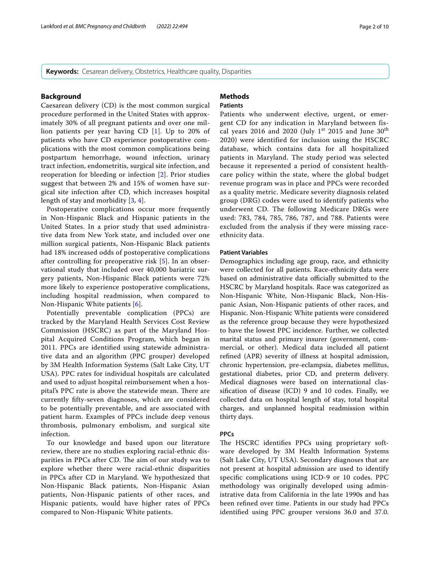**Keywords:** Cesarean delivery, Obstetrics, Healthcare quality, Disparities

#### **Background**

Caesarean delivery (CD) is the most common surgical procedure performed in the United States with approximately 30% of all pregnant patients and over one million patients per year having CD [[1\]](#page-8-0). Up to 20% of patients who have CD experience postoperative complications with the most common complications being postpartum hemorrhage, wound infection, urinary tract infection, endometritis, surgical site infection, and reoperation for bleeding or infection [[2\]](#page-8-1). Prior studies suggest that between 2% and 15% of women have surgical site infection after CD, which increases hospital length of stay and morbidity [\[3](#page-8-2), [4](#page-8-3)].

Postoperative complications occur more frequently in Non-Hispanic Black and Hispanic patients in the United States. In a prior study that used administrative data from New York state, and included over one million surgical patients, Non-Hispanic Black patients had 18% increased odds of postoperative complications after controlling for preoperative risk [[5](#page-8-4)]. In an observational study that included over 40,000 bariatric surgery patients, Non-Hispanic Black patients were 72% more likely to experience postoperative complications, including hospital readmission, when compared to Non-Hispanic White patients [[6](#page-8-5)].

Potentially preventable complication (PPCs) are tracked by the Maryland Health Services Cost Review Commission (HSCRC) as part of the Maryland Hospital Acquired Conditions Program, which began in 2011. PPCs are identifed using statewide administrative data and an algorithm (PPC grouper) developed by 3M Health Information Systems (Salt Lake City, UT USA). PPC rates for individual hospitals are calculated and used to adjust hospital reimbursement when a hospital's PPC rate is above the statewide mean. There are currently ffty-seven diagnoses, which are considered to be potentially preventable, and are associated with patient harm. Examples of PPCs include deep venous thrombosis, pulmonary embolism, and surgical site infection.

To our knowledge and based upon our literature review, there are no studies exploring racial-ethnic disparities in PPCs after CD. The aim of our study was to explore whether there were racial-ethnic disparities in PPCs after CD in Maryland. We hypothesized that Non-Hispanic Black patients, Non-Hispanic Asian patients, Non-Hispanic patients of other races, and Hispanic patients, would have higher rates of PPCs compared to Non-Hispanic White patients.

#### **Methods Patients**

Patients who underwent elective, urgent, or emergent CD for any indication in Maryland between fiscal years 2016 and 2020 (July 1<sup>st</sup> 2015 and June  $30<sup>th</sup>$ 2020) were identified for inclusion using the HSCRC database, which contains data for all hospitalized patients in Maryland. The study period was selected because it represented a period of consistent healthcare policy within the state, where the global budget revenue program was in place and PPCs were recorded as a quality metric. Medicare severity diagnosis related group (DRG) codes were used to identify patients who underwent CD. The following Medicare DRGs were used: 783, 784, 785, 786, 787, and 788. Patients were excluded from the analysis if they were missing raceethnicity data.

#### **Patient Variables**

Demographics including age group, race, and ethnicity were collected for all patients. Race-ethnicity data were based on administrative data officially submitted to the HSCRC by Maryland hospitals. Race was categorized as Non-Hispanic White, Non-Hispanic Black, Non-Hispanic Asian, Non-Hispanic patients of other races, and Hispanic. Non-Hispanic White patients were considered as the reference group because they were hypothesized to have the lowest PPC incidence. Further, we collected marital status and primary insurer (government, commercial, or other). Medical data included all patient refned (APR) severity of illness at hospital admission, chronic hypertension, pre-eclampsia, diabetes mellitus, gestational diabetes, prior CD, and preterm delivery. Medical diagnoses were based on international classifcation of disease (ICD) 9 and 10 codes. Finally, we collected data on hospital length of stay, total hospital charges, and unplanned hospital readmission within thirty days.

#### **PPCs**

The HSCRC identifies PPCs using proprietary software developed by 3M Health Information Systems (Salt Lake City, UT USA). Secondary diagnoses that are not present at hospital admission are used to identify specifc complications using ICD-9 or 10 codes. PPC methodology was originally developed using administrative data from California in the late 1990s and has been refned over time. Patients in our study had PPCs identifed using PPC grouper versions 36.0 and 37.0.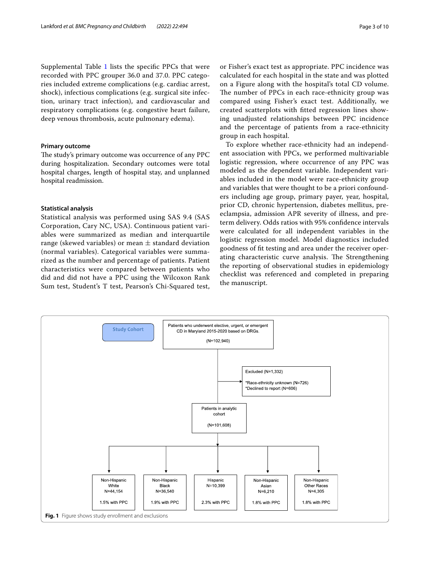Supplemental Table [1](#page-7-0) lists the specific PPCs that were recorded with PPC grouper 36.0 and 37.0. PPC categories included extreme complications (e.g. cardiac arrest, shock), infectious complications (e.g. surgical site infection, urinary tract infection), and cardiovascular and respiratory complications (e.g. congestive heart failure, deep venous thrombosis, acute pulmonary edema).

# **Primary outcome**

The study's primary outcome was occurrence of any PPC during hospitalization. Secondary outcomes were total hospital charges, length of hospital stay, and unplanned hospital readmission.

#### **Statistical analysis**

Statistical analysis was performed using SAS 9.4 (SAS Corporation, Cary NC, USA). Continuous patient variables were summarized as median and interquartile range (skewed variables) or mean  $\pm$  standard deviation (normal variables). Categorical variables were summarized as the number and percentage of patients. Patient characteristics were compared between patients who did and did not have a PPC using the Wilcoxon Rank Sum test, Student's T test, Pearson's Chi-Squared test, or Fisher's exact test as appropriate. PPC incidence was calculated for each hospital in the state and was plotted on a Figure along with the hospital's total CD volume. The number of PPCs in each race-ethnicity group was compared using Fisher's exact test. Additionally, we created scatterplots with ftted regression lines showing unadjusted relationships between PPC incidence and the percentage of patients from a race-ethnicity group in each hospital.

To explore whether race-ethnicity had an independent association with PPCs, we performed multivariable logistic regression, where occurrence of any PPC was modeled as the dependent variable. Independent variables included in the model were race-ethnicity group and variables that were thought to be a priori confounders including age group, primary payer, year, hospital, prior CD, chronic hypertension, diabetes mellitus, preeclampsia, admission APR severity of illness, and preterm delivery. Odds ratios with 95% confdence intervals were calculated for all independent variables in the logistic regression model. Model diagnostics included goodness of ft testing and area under the receiver operating characteristic curve analysis. The Strengthening the reporting of observational studies in epidemiology checklist was referenced and completed in preparing the manuscript.

<span id="page-2-0"></span>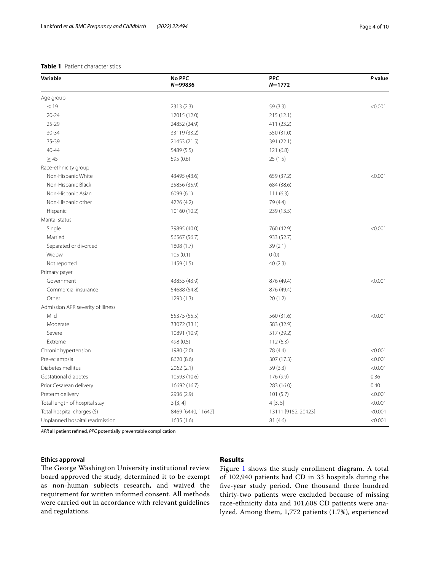### <span id="page-3-0"></span>**Table 1** Patient characteristics

| Variable                          | No PPC<br>$N = 99836$ | <b>PPC</b><br>$N = 1772$ | P value |
|-----------------------------------|-----------------------|--------------------------|---------|
| Age group                         |                       |                          |         |
| $\leq 19$                         | 2313 (2.3)            | 59(3.3)                  | < 0.001 |
| $20 - 24$                         | 12015 (12.0)          | 215(12.1)                |         |
| 25-29                             | 24852 (24.9)          | 411 (23.2)               |         |
| 30-34                             | 33119 (33.2)          | 550 (31.0)               |         |
| 35-39                             | 21453 (21.5)          | 391 (22.1)               |         |
| 40-44                             | 5489 (5.5)            | 121(6.8)                 |         |
| $\geq 45$                         | 595 (0.6)             | 25(1.5)                  |         |
| Race-ethnicity group              |                       |                          |         |
| Non-Hispanic White                | 43495 (43.6)          | 659 (37.2)               | < 0.001 |
| Non-Hispanic Black                | 35856 (35.9)          | 684 (38.6)               |         |
| Non-Hispanic Asian                | 6099(6.1)             | 111(6.3)                 |         |
| Non-Hispanic other                | 4226 (4.2)            | 79 (4.4)                 |         |
| Hispanic                          | 10160 (10.2)          | 239 (13.5)               |         |
| Marital status                    |                       |                          |         |
| Single                            | 39895 (40.0)          | 760 (42.9)               | < 0.001 |
| Married                           | 56567 (56.7)          | 933 (52.7)               |         |
| Separated or divorced             | 1808 (1.7)            | 39(2.1)                  |         |
| Widow                             | 105(0.1)              | 0(0)                     |         |
| Not reported                      | 1459 (1.5)            | 40(2.3)                  |         |
| Primary payer                     |                       |                          |         |
| Government                        | 43855 (43.9)          | 876 (49.4)               | < 0.001 |
| Commercial insurance              | 54688 (54.8)          | 876 (49.4)               |         |
| Other                             | 1293 (1.3)            | 20(1.2)                  |         |
| Admission APR severity of illness |                       |                          |         |
| Mild                              | 55375 (55.5)          | 560 (31.6)               | < 0.001 |
| Moderate                          | 33072 (33.1)          | 583 (32.9)               |         |
| Severe                            | 10891 (10.9)          | 517 (29.2)               |         |
| Extreme                           | 498 (0.5)             | 112(6.3)                 |         |
| Chronic hypertension              | 1980 (2.0)            | 78 (4.4)                 | < 0.001 |
| Pre-eclampsia                     | 8620 (8.6)            | 307 (17.3)               | < 0.001 |
| Diabetes mellitus                 | 2062 (2.1)            | 59 (3.3)                 | < 0.001 |
| Gestational diabetes              | 10593 (10.6)          | 176 (9.9)                | 0.36    |
| Prior Cesarean delivery           | 16692 (16.7)          | 283 (16.0)               | 0.40    |
| Preterm delivery                  | 2936 (2.9)            | 101(5.7)                 | < 0.001 |
| Total length of hospital stay     | 3[3,4]                | 4[3, 5]                  | < 0.001 |
| Total hospital charges (\$)       | 8469 [6440, 11642]    | 13111 [9152, 20423]      | < 0.001 |
| Unplanned hospital readmission    | 1635 (1.6)            | 81(4.6)                  | < 0.001 |

*APR* all patient refned, *PPC* potentially preventable complication

# **Ethics approval**

The George Washington University institutional review board approved the study, determined it to be exempt as non-human subjects research, and waived the requirement for written informed consent. All methods were carried out in accordance with relevant guidelines and regulations.

# **Results**

Figure [1](#page-2-0) shows the study enrollment diagram. A total of 102,940 patients had CD in 33 hospitals during the fve-year study period. One thousand three hundred thirty-two patients were excluded because of missing race-ethnicity data and 101,608 CD patients were analyzed. Among them, 1,772 patients (1.7%), experienced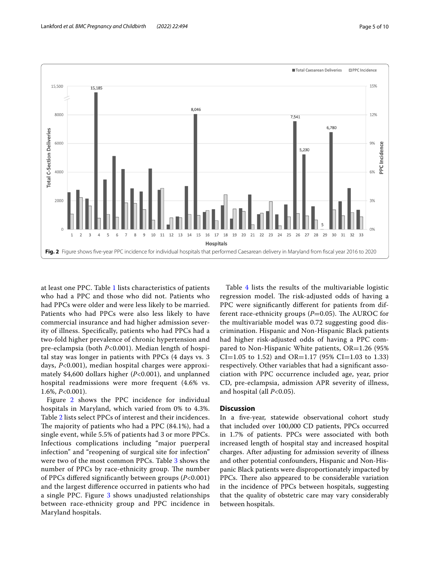

<span id="page-4-0"></span>at least one PPC. Table [1](#page-3-0) lists characteristics of patients who had a PPC and those who did not. Patients who had PPCs were older and were less likely to be married. Patients who had PPCs were also less likely to have commercial insurance and had higher admission severity of illness. Specifcally, patients who had PPCs had a two-fold higher prevalence of chronic hypertension and pre-eclampsia (both *P*<0.001). Median length of hospital stay was longer in patients with PPCs (4 days vs. 3 days, *P*<0.001), median hospital charges were approximately \$4,600 dollars higher (*P*<0.001), and unplanned hospital readmissions were more frequent (4.6% vs. 1.6%, *P*<0.001).

Figure [2](#page-4-0) shows the PPC incidence for individual hospitals in Maryland, which varied from 0% to 4.3%. Table [2](#page-5-0) lists select PPCs of interest and their incidences. The majority of patients who had a PPC  $(84.1\%)$ , had a single event, while 5.5% of patients had 3 or more PPCs. Infectious complications including "major puerperal infection" and "reopening of surgical site for infection" were two of the most common PPCs. Table [3](#page-5-1) shows the number of PPCs by race-ethnicity group. The number of PPCs difered signifcantly between groups (*P*<0.001) and the largest diference occurred in patients who had a single PPC. Figure [3](#page-6-0) shows unadjusted relationships between race-ethnicity group and PPC incidence in Maryland hospitals.

Table [4](#page-7-1) lists the results of the multivariable logistic regression model. The risk-adjusted odds of having a PPC were signifcantly diferent for patients from different race-ethnicity groups  $(P=0.05)$ . The AUROC for the multivariable model was 0.72 suggesting good discrimination. Hispanic and Non-Hispanic Black patients had higher risk-adjusted odds of having a PPC compared to Non-Hispanic White patients, OR=1.26 (95% CI=1.05 to 1.52) and OR=1.17 (95% CI=1.03 to 1.33) respectively. Other variables that had a signifcant association with PPC occurrence included age, year, prior CD, pre-eclampsia, admission APR severity of illness, and hospital (all *P*<0.05).

#### **Discussion**

In a fve-year, statewide observational cohort study that included over 100,000 CD patients, PPCs occurred in 1.7% of patients. PPCs were associated with both increased length of hospital stay and increased hospital charges. After adjusting for admission severity of illness and other potential confounders, Hispanic and Non-Hispanic Black patients were disproportionately impacted by PPCs. There also appeared to be considerable variation in the incidence of PPCs between hospitals, suggesting that the quality of obstetric care may vary considerably between hospitals.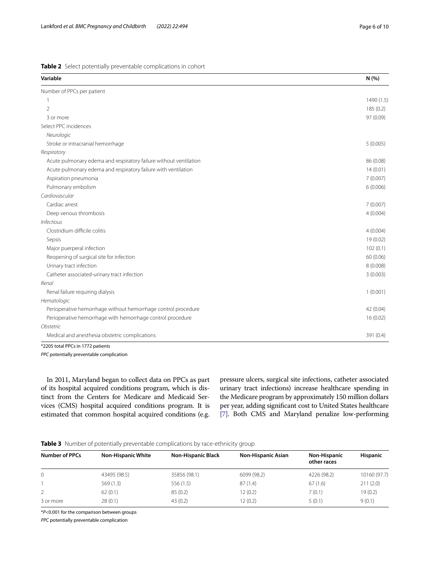<span id="page-5-0"></span>

|  |  |  |  | Table 2 Select potentially preventable complications in cohort |  |
|--|--|--|--|----------------------------------------------------------------|--|
|--|--|--|--|----------------------------------------------------------------|--|

| Variable                                                          | N (%)     |
|-------------------------------------------------------------------|-----------|
| Number of PPCs per patient                                        |           |
|                                                                   | 1490(1.5) |
| $\overline{2}$                                                    | 185 (0.2) |
| 3 or more                                                         | 97 (0.09) |
| Select PPC incidences                                             |           |
| Neurologic                                                        |           |
| Stroke or intracranial hemorrhage                                 | 5(0.005)  |
| Respiratory                                                       |           |
| Acute pulmonary edema and respiratory failure without ventilation | 86 (0.08) |
| Acute pulmonary edema and respiratory failure with ventilation    | 14(0.01)  |
| Aspiration pneumonia                                              | 7(0.007)  |
| Pulmonary embolism                                                | 6(0.006)  |
| Cardiovascular                                                    |           |
| Cardiac arrest                                                    | 7(0.007)  |
| Deep venous thrombosis                                            | 4(0.004)  |
| <b>Infectious</b>                                                 |           |
| Clostridium difficile colitis                                     | 4(0.004)  |
| Sepsis                                                            | 19(0.02)  |
| Major puerperal infection                                         | 102(0.1)  |
| Reopening of surgical site for infection                          | 60 (0.06) |
| Urinary tract infection                                           | 8(0.008)  |
| Catheter associated-urinary tract infection                       | 3(0.003)  |
| Renal                                                             |           |
| Renal failure requiring dialysis                                  | 1(0.001)  |
| Hematologic                                                       |           |
| Perioperative hemorrhage without hemorrhage control procedure     | 42 (0.04) |
| Perioperative hemorrhage with hemorrhage control procedure        | 16(0.02)  |
| Obstetric                                                         |           |
| Medical and anesthesia obstetric complications                    | 391 (0.4) |

*PPC* potentially preventable complication

In 2011, Maryland began to collect data on PPCs as part of its hospital acquired conditions program, which is distinct from the Centers for Medicare and Medicaid Services (CMS) hospital acquired conditions program. It is estimated that common hospital acquired conditions (e.g. pressure ulcers, surgical site infections, catheter associated urinary tract infections) increase healthcare spending in the Medicare program by approximately 150 million dollars per year, adding signifcant cost to United States healthcare [[7\]](#page-8-6). Both CMS and Maryland penalize low-performing

<span id="page-5-1"></span>

|  |  |  |  | Table 3 Number of potentially preventable complications by race-ethnicity group |  |  |  |
|--|--|--|--|---------------------------------------------------------------------------------|--|--|--|
|--|--|--|--|---------------------------------------------------------------------------------|--|--|--|

| <b>Number of PPCs</b> | <b>Non-Hispanic White</b> | <b>Non-Hispanic Black</b> | <b>Non-Hispanic Asian</b> | <b>Non-Hispanic</b><br>other races | <b>Hispanic</b> |
|-----------------------|---------------------------|---------------------------|---------------------------|------------------------------------|-----------------|
|                       | 43495 (98.5)              | 35856 (98.1)              | 6099 (98.2)               | 4226 (98.2)                        | 10160 (97.7)    |
|                       | 569(1.3)                  | 556 (1.5)                 | 87 (1.4)                  | 67(1.6)                            | 211(2.0)        |
|                       | 62(0.1)                   | 85(0.2)                   | 12(0.2)                   | 7(0.1)                             | 19(0.2)         |
| 3 or more             | 28(0.1)                   | 43(0.2)                   | 12(0.2)                   | 5(0.1)                             | 9(0.1)          |

\**P*<0.001 for the comparison between groups

*PPC* potentially preventable complication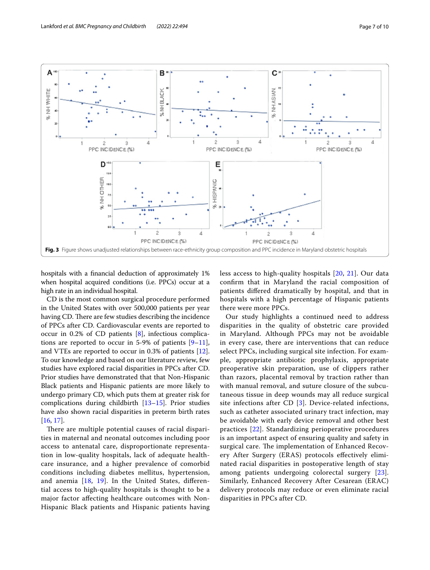

<span id="page-6-0"></span>hospitals with a fnancial deduction of approximately 1% when hospital acquired conditions (i.e. PPCs) occur at a high rate in an individual hospital.

CD is the most common surgical procedure performed in the United States with over 500,000 patients per year having CD. There are few studies describing the incidence of PPCs after CD. Cardiovascular events are reported to occur in 0.2% of CD patients [[8\]](#page-8-7), infectious complications are reported to occur in 5-9% of patients  $[9-11]$  $[9-11]$ , and VTEs are reported to occur in 0.3% of patients [\[12](#page-8-10)]. To our knowledge and based on our literature review, few studies have explored racial disparities in PPCs after CD. Prior studies have demonstrated that that Non-Hispanic Black patients and Hispanic patients are more likely to undergo primary CD, which puts them at greater risk for complications during childbirth [[13–](#page-8-11)[15\]](#page-8-12). Prior studies have also shown racial disparities in preterm birth rates [[16,](#page-8-13) [17](#page-8-14)].

There are multiple potential causes of racial disparities in maternal and neonatal outcomes including poor access to antenatal care, disproportionate representation in low-quality hospitals, lack of adequate healthcare insurance, and a higher prevalence of comorbid conditions including diabetes mellitus, hypertension, and anemia [\[18,](#page-8-15) [19](#page-8-16)]. In the United States, diferential access to high-quality hospitals is thought to be a major factor afecting healthcare outcomes with Non-Hispanic Black patients and Hispanic patients having less access to high-quality hospitals [[20,](#page-8-17) [21\]](#page-8-18). Our data confrm that in Maryland the racial composition of patients difered dramatically by hospital, and that in hospitals with a high percentage of Hispanic patients there were more PPCs.

Our study highlights a continued need to address disparities in the quality of obstetric care provided in Maryland. Although PPCs may not be avoidable in every case, there are interventions that can reduce select PPCs, including surgical site infection. For example, appropriate antibiotic prophylaxis, appropriate preoperative skin preparation, use of clippers rather than razors, placental removal by traction rather than with manual removal, and suture closure of the subcutaneous tissue in deep wounds may all reduce surgical site infections after CD [[3](#page-8-2)]. Device-related infections, such as catheter associated urinary tract infection, may be avoidable with early device removal and other best practices [[22\]](#page-9-0). Standardizing perioperative procedures is an important aspect of ensuring quality and safety in surgical care. The implementation of Enhanced Recovery After Surgery (ERAS) protocols efectively eliminated racial disparities in postoperative length of stay among patients undergoing colorectal surgery [[23\]](#page-9-1). Similarly, Enhanced Recovery After Cesarean (ERAC) delivery protocols may reduce or even eliminate racial disparities in PPCs after CD.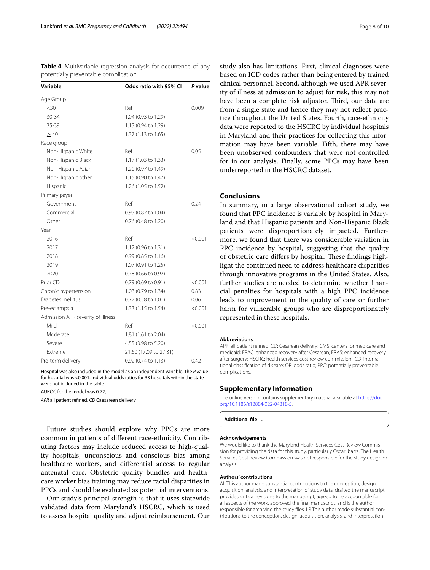<span id="page-7-1"></span>**Table 4** Multivariable regression analysis for occurrence of any potentially preventable complication

| Variable                          | Odds ratio with 95% CI | P value |  |
|-----------------------------------|------------------------|---------|--|
| Age Group                         |                        |         |  |
| $<$ 30                            | Ref                    | 0.009   |  |
| 30-34                             | 1.04 (0.93 to 1.29)    |         |  |
| 35-39                             | 1.13 (0.94 to 1.29)    |         |  |
| $\geq 40$                         | 1.37 (1.13 to 1.65)    |         |  |
| Race group                        |                        |         |  |
| Non-Hispanic White                | Ref                    | 0.05    |  |
| Non-Hispanic Black                | 1.17 (1.03 to 1.33)    |         |  |
| Non-Hispanic Asian                | 1.20 (0.97 to 1.49)    |         |  |
| Non-Hispanic other                | 1.15 (0.90 to 1.47)    |         |  |
| Hispanic                          | 1.26 (1.05 to 1.52)    |         |  |
| Primary payer                     |                        |         |  |
| Government                        | Ref                    | 0.24    |  |
| Commercial                        | 0.93 (0.82 to 1.04)    |         |  |
| Other                             | 0.76 (0.48 to 1.20)    |         |  |
| Year                              |                        |         |  |
| 2016                              | Ref                    | < 0.001 |  |
| 2017                              | 1.12 (0.96 to 1.31)    |         |  |
| 2018                              | 0.99 (0.85 to 1.16)    |         |  |
| 2019                              | 1.07 (0.91 to 1.25)    |         |  |
| 2020                              | 0.78 (0.66 to 0.92)    |         |  |
| Prior CD                          | 0.79 (0.69 to 0.91)    | < 0.001 |  |
| Chronic hypertension              | 1.03 (0.79 to 1.34)    | 0.83    |  |
| Diabetes mellitus                 | 0.77 (0.58 to 1.01)    | 0.06    |  |
| Pre-eclampsia                     | 1.33 (1.15 to 1.54)    | < 0.001 |  |
| Admission APR severity of illness |                        |         |  |
| Mild                              | Ref                    | < 0.001 |  |
| Moderate                          | 1.81 (1.61 to 2.04)    |         |  |
| Severe                            | 4.55 (3.98 to 5.20)    |         |  |
| Extreme                           | 21.60 (17.09 to 27.31) |         |  |
| Pre-term delivery                 | 0.92 (0.74 to 1.13)    | 0.42    |  |

Hospital was also included in the model as an independent variable. The *P* value for hospital was <0.001. Individual odds ratios for 33 hospitals within the state were not included in the table

AUROC for the model was 0.72,

*APR* all patient refned, *CD* Caesarean delivery

Future studies should explore why PPCs are more common in patients of diferent race-ethnicity. Contributing factors may include reduced access to high-quality hospitals, unconscious and conscious bias among healthcare workers, and diferential access to regular antenatal care. Obstetric quality bundles and healthcare worker bias training may reduce racial disparities in PPCs and should be evaluated as potential interventions.

Our study's principal strength is that it uses statewide validated data from Maryland's HSCRC, which is used to assess hospital quality and adjust reimbursement. Our

study also has limitations. First, clinical diagnoses were based on ICD codes rather than being entered by trained clinical personnel. Second, although we used APR severity of illness at admission to adjust for risk, this may not have been a complete risk adjustor. Third, our data are from a single state and hence they may not refect practice throughout the United States. Fourth, race-ethnicity data were reported to the HSCRC by individual hospitals in Maryland and their practices for collecting this information may have been variable. Fifth, there may have been unobserved confounders that were not controlled for in our analysis. Finally, some PPCs may have been underreported in the HSCRC dataset.

# **Conclusions**

In summary, in a large observational cohort study, we found that PPC incidence is variable by hospital in Maryland and that Hispanic patients and Non-Hispanic Black patients were disproportionately impacted. Furthermore, we found that there was considerable variation in PPC incidence by hospital, suggesting that the quality of obstetric care differs by hospital. These findings highlight the continued need to address healthcare disparities through innovative programs in the United States. Also, further studies are needed to determine whether fnancial penalties for hospitals with a high PPC incidence leads to improvement in the quality of care or further harm for vulnerable groups who are disproportionately represented in these hospitals.

#### **Abbreviations**

APR: all patient refned; CD: Cesarean delivery; CMS: centers for medicare and medicaid; ERAC: enhanced recovery after Cesarean; ERAS: enhanced recovery after surgery; HSCRC: health services cost review commission; ICD: international classifcation of disease; OR: odds ratio; PPC: potentially preventable complications.

#### **Supplementary Information**

The online version contains supplementary material available at [https://doi.](https://doi.org/10.1186/s12884-022-04818-5) [org/10.1186/s12884-022-04818-5](https://doi.org/10.1186/s12884-022-04818-5).

<span id="page-7-0"></span>**Additional fle 1.**

#### **Acknowledgements**

We would like to thank the Maryland Health Services Cost Review Commission for providing the data for this study, particularly Oscar Ibarra. The Health Services Cost Review Commission was not responsible for the study design or analysis.

#### **Authors' contributions**

AL This author made substantial contributions to the conception, design, acquisition, analysis, and interpretation of study data, drafted the manuscript, provided critical revisions to the manuscript, agreed to be accountable for all aspects of the work, approved the fnal manuscript, and is the author responsible for archiving the study fles. LR This author made substantial contributions to the conception, design, acquisition, analysis, and interpretation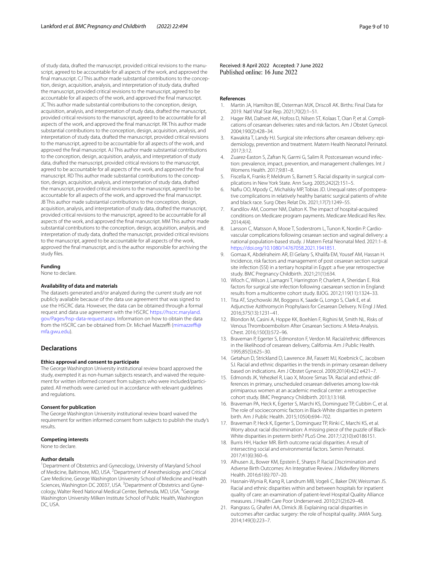of study data, drafted the manuscript, provided critical revisions to the manuscript, agreed to be accountable for all aspects of the work, and approved the fnal manuscript. CJ This author made substantial contributions to the conception, design, acquisition, analysis, and interpretation of study data, drafted the manuscript, provided critical revisions to the manuscript, agreed to be accountable for all aspects of the work, and approved the fnal manuscript. JC This author made substantial contributions to the conception, design, acquisition, analysis, and interpretation of study data, drafted the manuscript, provided critical revisions to the manuscript, agreed to be accountable for all aspects of the work, and approved the fnal manuscript. RK This author made substantial contributions to the conception, design, acquisition, analysis, and interpretation of study data, drafted the manuscript, provided critical revisions to the manuscript, agreed to be accountable for all aspects of the work, and approved the fnal manuscript. AJ This author made substantial contributions to the conception, design, acquisition, analysis, and interpretation of study data, drafted the manuscript, provided critical revisions to the manuscript, agreed to be accountable for all aspects of the work, and approved the fnal manuscript. RD This author made substantial contributions to the conception, design, acquisition, analysis, and interpretation of study data, drafted the manuscript, provided critical revisions to the manuscript, agreed to be accountable for all aspects of the work, and approved the fnal manuscript. JB This author made substantial contributions to the conception, design, acquisition, analysis, and interpretation of study data, drafted the manuscript, provided critical revisions to the manuscript, agreed to be accountable for all aspects of the work, and approved the fnal manuscript. MM This author made substantial contributions to the conception, design, acquisition, analysis, and interpretation of study data, drafted the manuscript, provided critical revisions to the manuscript, agreed to be accountable for all aspects of the work, approved the fnal manuscript, and is the author responsible for archiving the study fles.

#### **Funding**

None to declare.

#### **Availability of data and materials**

The datasets generated and/or analyzed during the current study are not publicly available because of the data use agreement that was signed to use the HSCRC data. However, the data can be obtained through a formal request and data use agreement with the HSCRC [https://hscrc.maryland.](https://hscrc.maryland.gov/Pages/hsp-data-request.aspx) [gov/Pages/hsp-data-request.aspx](https://hscrc.maryland.gov/Pages/hsp-data-request.aspx). Information on how to obtain the data from the HSCRC can be obtained from Dr. Michael Mazzeffi (mimazzeffi@ [mfa.gwu.edu\)](mimazzeffi@mfa.gwu.edu).

#### **Declarations**

#### **Ethics approval and consent to participate**

The George Washington University institutional review board approved the study, exempted it as non-human subjects research, and waived the requirement for written informed consent from subjects who were included/participated. All methods were carried out in accordance with relevant guidelines and regulations.

#### **Consent for publication**

The George Washington University institutional review board waived the requirement for written informed consent from subjects to publish the study's results.

#### **Competing interests**

None to declare.

#### **Author details**

<sup>1</sup> Department of Obstetrics and Gynecology, University of Maryland School of Medicine, Baltimore, MD, USA. <sup>2</sup> Department of Anesthesiology and Critical Care Medicine, George Washington University School of Medicine and Health Sciences, Washington DC 20037, USA. <sup>3</sup> Department of Obstetrics and Gynecology, Walter Reed National Medical Center, Bethesda, MD, USA. <sup>4</sup>George Washington University Milken Institute School of Public Health, Washington DC, USA.

Received: 8 April 2022 Accepted: 7 June 2022<br>Published online: 16 June 2022

#### **References**

- <span id="page-8-0"></span>1. Martin JA, Hamilton BE, Osterman MJK, Driscoll AK. Births: Final Data for 2019. Natl Vital Stat Rep. 2021;70(2):1–51.
- <span id="page-8-1"></span>2. Hager RM, Daltveit AK, Hofoss D, Nilsen ST, Kolaas T, Oian P, et al. Complications of cesarean deliveries: rates and risk factors. Am J Obstet Gynecol. 2004;190(2):428–34.
- <span id="page-8-2"></span>3. Kawakita T, Landy HJ. Surgical site infections after cesarean delivery: epidemiology, prevention and treatment. Matern Health Neonatol Perinatol. 2017;3:12.
- <span id="page-8-3"></span>4. Zuarez-Easton S, Zafran N, Garmi G, Salim R. Postcesarean wound infection: prevalence, impact, prevention, and management challenges. Int J Womens Health. 2017;9:81–8.
- <span id="page-8-4"></span>5. Fiscella K, Franks P, Meldrum S, Barnett S. Racial disparity in surgical complications in New York State. Ann Surg. 2005;242(2):151–5.
- <span id="page-8-5"></span>6. Nafu OO, Mpody C, Michalsky MP, Tobias JD. Unequal rates of postoperative complications in relatively healthy bariatric surgical patients of white and black race. Surg Obes Relat Dis. 2021;17(7):1249–55.
- <span id="page-8-6"></span>7. Kandilov AM, Coomer NM, Dalton K. The impact of hospital-acquired conditions on Medicare program payments. Medicare Medicaid Res Rev. 2014;4(4).
- <span id="page-8-7"></span>8. Larsson C, Matsson A, Mooe T, Soderstrom L, Tunon K, Nordin P. Cardiovascular complications following cesarean section and vaginal delivery: a national population-based study. J Matern Fetal Neonatal Med. 2021:1–8. [https://doi.org/10.1080/14767058.2021.1941851.](https://doi.org/10.1080/14767058.2021.1941851)
- <span id="page-8-8"></span>9. Gomaa K, Abdelraheim AR, El Gelany S, Khalifa EM, Yousef AM, Hassan H. Incidence, risk factors and management of post cesarean section surgical site infection (SSI) in a tertiary hospital in Egypt: a fve year retrospective study. BMC Pregnancy Childbirth. 2021;21(1):634.
- 10. Wloch C, Wilson J, Lamagni T, Harrington P, Charlett A, Sheridan E. Risk factors for surgical site infection following caesarean section in England: results from a multicentre cohort study. BJOG. 2012;119(11):1324–33.
- <span id="page-8-9"></span>11. Tita AT, Szychowski JM, Boggess K, Saade G, Longo S, Clark E, et al. Adjunctive Azithromycin Prophylaxis for Cesarean Delivery. N Engl J Med. 2016;375(13):1231–41.
- <span id="page-8-10"></span>12. Blondon M, Casini A, Hoppe KK, Boehlen F, Righini M, Smith NL. Risks of Venous Thromboembolism After Cesarean Sections: A Meta-Analysis. Chest. 2016;150(3):572–96.
- <span id="page-8-11"></span>13. Braveman P, Egerter S, Edmonston F, Verdon M. Racial/ethnic diferences in the likelihood of cesarean delivery, California. Am J Public Health. 1995;85(5):625–30.
- 14. Getahun D, Strickland D, Lawrence JM, Fassett MJ, Koebnick C, Jacobsen SJ. Racial and ethnic disparities in the trends in primary cesarean delivery based on indications. Am J Obstet Gynecol. 2009;201(4):422 e421–7.
- <span id="page-8-12"></span>15. Edmonds JK, Yehezkel R, Liao X, Moore Simas TA. Racial and ethnic differences in primary, unscheduled cesarean deliveries among low-risk primiparous women at an academic medical center: a retrospective cohort study. BMC Pregnancy Childbirth. 2013;13:168.
- <span id="page-8-13"></span>16. Braveman PA, Heck K, Egerter S, Marchi KS, Dominguez TP, Cubbin C, et al. The role of socioeconomic factors in Black-White disparities in preterm birth. Am J Public Health. 2015;105(4):694–702.
- <span id="page-8-14"></span>17. Braveman P, Heck K, Egerter S, Dominguez TP, Rinki C, Marchi KS, et al. Worry about racial discrimination: A missing piece of the puzzle of Black-White disparities in preterm birth? PLoS One. 2017;12(10):e0186151.
- <span id="page-8-15"></span>18. Burris HH, Hacker MR. Birth outcome racial disparities: A result of intersecting social and environmental factors. Semin Perinatol. 2017;41(6):360–6.
- <span id="page-8-16"></span>19. Alhusen JL, Bower KM, Epstein E, Sharps P. Racial Discrimination and Adverse Birth Outcomes: An Integrative Review. J Midwifery Womens Health. 2016;61(6):707–20.
- <span id="page-8-17"></span>20. Hasnain-Wynia R, Kang R, Landrum MB, Vogeli C, Baker DW, Weissman JS. Racial and ethnic disparities within and between hospitals for inpatient quality of care: an examination of patient-level Hospital Quality Alliance measures. J Health Care Poor Underserved. 2010;21(2):629–48.
- <span id="page-8-18"></span>21. Rangrass G, Ghaferi AA, Dimick JB. Explaining racial disparities in outcomes after cardiac surgery: the role of hospital quality. JAMA Surg. 2014;149(3):223–7.